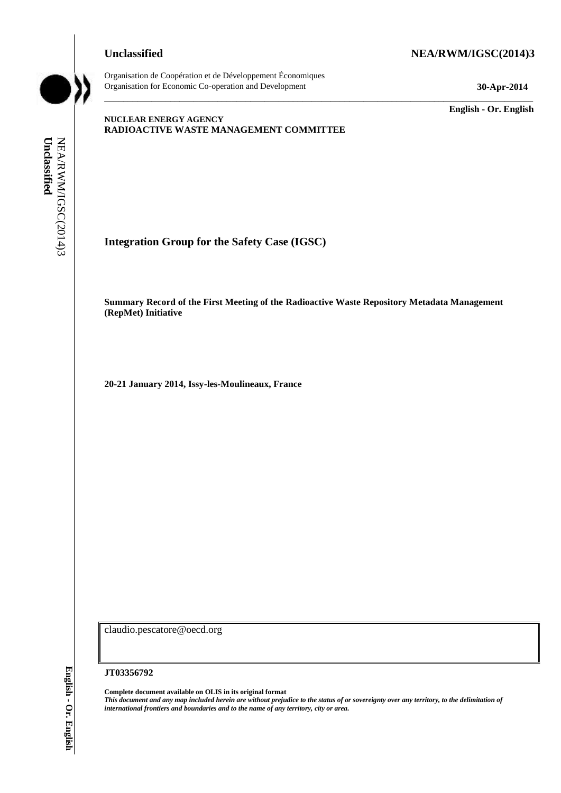## **Unclassified NEA/RWM/IGSC(2014)3**



Organisation de Coopération et de Développement Économiques Organisation for Economic Co-operation and Development **30-Apr-2014**

\_\_\_\_\_\_\_\_\_\_\_\_\_ **English - Or. English**

## **NUCLEAR ENERGY AGENCY RADIOACTIVE WASTE MANAGEMENT COMMITTEE**

NEA/RWM/IGSC(2014)3<br>**Unclassified** 

**Integration Group for the Safety Case (IGSC)**

**Summary Record of the First Meeting of the Radioactive Waste Repository Metadata Management (RepMet) Initiative**

\_\_\_\_\_\_\_\_\_\_\_\_\_\_\_\_\_\_\_\_\_\_\_\_\_\_\_\_\_\_\_\_\_\_\_\_\_\_\_\_\_\_\_\_\_\_\_\_\_\_\_\_\_\_\_\_\_\_\_\_\_\_\_\_\_\_\_\_\_\_\_\_\_\_\_\_\_\_\_\_\_\_\_\_\_\_\_\_\_\_\_

**20-21 January 2014, Issy-les-Moulineaux, France**

claudio.pescatore@oecd.org

#### **JT03356792**

**Complete document available on OLIS in its original format** *This document and any map included herein are without prejudice to the status of or sovereignty over any territory, to the delimitation of*  **international Group for the Safety Case (IGSC)<br>
<b>integration Group for the Safety Case (IGSC)**<br>
Summary Record of the First Meeting of the Radioactive Wa<br>
(RepAte) Initiative<br>
20-21 January 2014, Isy-les-Moulineaux, Franc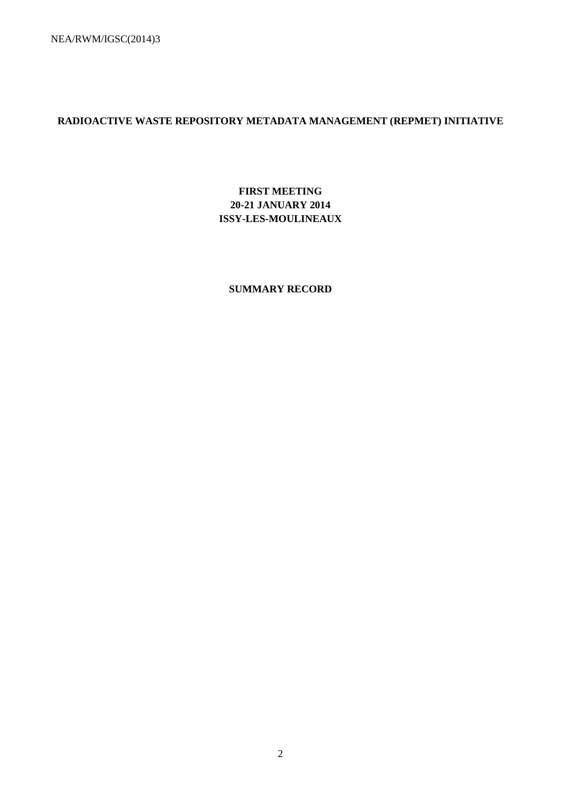NEA/RWM/IGSC(2014)3

# **RADIOACTIVE WASTE REPOSITORY METADATA MANAGEMENT (REPMET) INITIATIVE**

# **FIRST MEETING 20-21 JANUARY 2014 ISSY-LES-MOULINEAUX**

## **SUMMARY RECORD**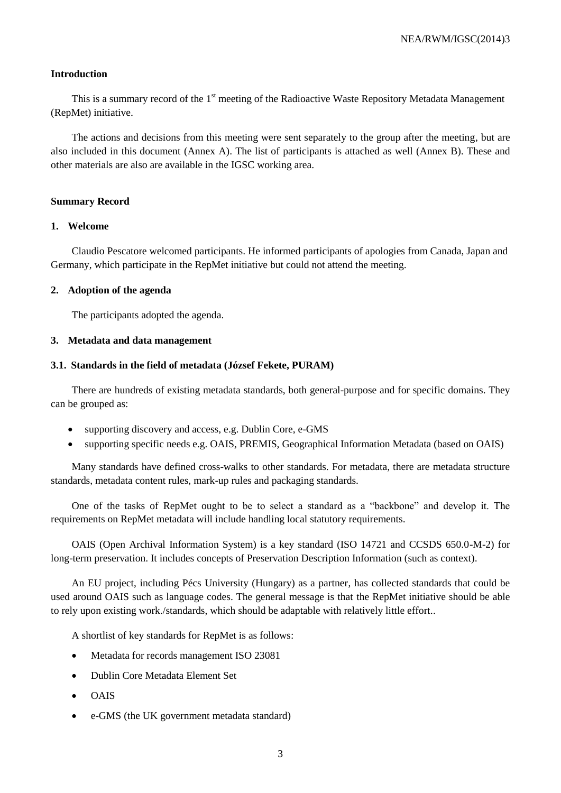## **Introduction**

This is a summary record of the 1<sup>st</sup> meeting of the Radioactive Waste Repository Metadata Management (RepMet) initiative.

The actions and decisions from this meeting were sent separately to the group after the meeting, but are also included in this document (Annex A). The list of participants is attached as well (Annex B). These and other materials are also are available in the IGSC working area.

## **Summary Record**

## **1. Welcome**

Claudio Pescatore welcomed participants. He informed participants of apologies from Canada, Japan and Germany, which participate in the RepMet initiative but could not attend the meeting.

## **2. Adoption of the agenda**

The participants adopted the agenda.

## **3. Metadata and data management**

## **3.1. Standards in the field of metadata (József Fekete, PURAM)**

There are hundreds of existing metadata standards, both general-purpose and for specific domains. They can be grouped as:

- supporting discovery and access, e.g. Dublin Core, e-GMS
- supporting specific needs e.g. OAIS, PREMIS, Geographical Information Metadata (based on OAIS)

Many standards have defined cross-walks to other standards. For metadata, there are metadata structure standards, metadata content rules, mark-up rules and packaging standards.

One of the tasks of RepMet ought to be to select a standard as a "backbone" and develop it. The requirements on RepMet metadata will include handling local statutory requirements.

OAIS (Open Archival Information System) is a key standard (ISO 14721 and CCSDS 650.0-M-2) for long-term preservation. It includes concepts of Preservation Description Information (such as context).

An EU project, including Pécs University (Hungary) as a partner, has collected standards that could be used around OAIS such as language codes. The general message is that the RepMet initiative should be able to rely upon existing work./standards, which should be adaptable with relatively little effort..

A shortlist of key standards for RepMet is as follows:

- Metadata for records management ISO 23081
- Dublin Core Metadata Element Set
- OAIS
- e-GMS (the UK government metadata standard)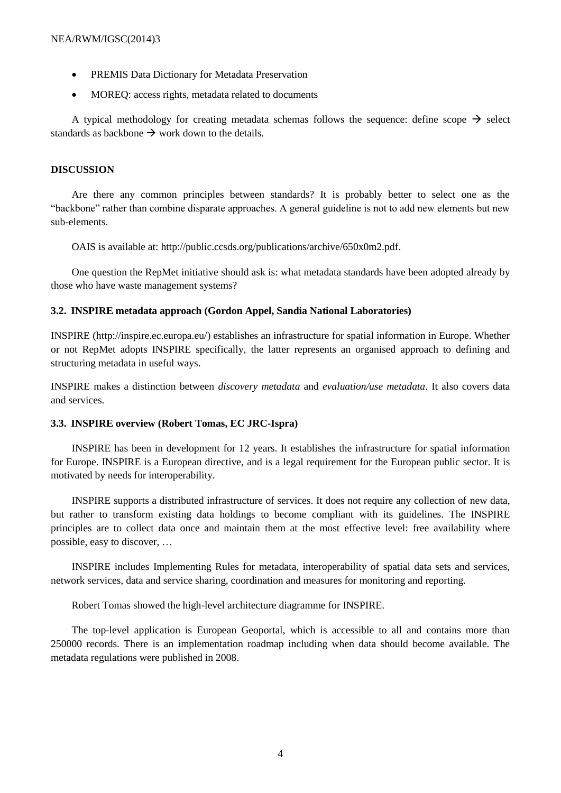- PREMIS Data Dictionary for Metadata Preservation
- MOREQ: access rights, metadata related to documents

A typical methodology for creating metadata schemas follows the sequence: define scope  $\rightarrow$  select standards as backbone  $\rightarrow$  work down to the details.

## **DISCUSSION**

Are there any common principles between standards? It is probably better to select one as the "backbone" rather than combine disparate approaches. A general guideline is not to add new elements but new sub-elements.

OAIS is available at: http://public.ccsds.org/publications/archive/650x0m2.pdf.

One question the RepMet initiative should ask is: what metadata standards have been adopted already by those who have waste management systems?

## **3.2. INSPIRE metadata approach (Gordon Appel, Sandia National Laboratories)**

INSPIRE (http://inspire.ec.europa.eu/) establishes an infrastructure for spatial information in Europe. Whether or not RepMet adopts INSPIRE specifically, the latter represents an organised approach to defining and structuring metadata in useful ways.

INSPIRE makes a distinction between *discovery metadata* and *evaluation/use metadata*. It also covers data and services.

## **3.3. INSPIRE overview (Robert Tomas, EC JRC-Ispra)**

INSPIRE has been in development for 12 years. It establishes the infrastructure for spatial information for Europe. INSPIRE is a European directive, and is a legal requirement for the European public sector. It is motivated by needs for interoperability.

INSPIRE supports a distributed infrastructure of services. It does not require any collection of new data, but rather to transform existing data holdings to become compliant with its guidelines. The INSPIRE principles are to collect data once and maintain them at the most effective level: free availability where possible, easy to discover, …

INSPIRE includes Implementing Rules for metadata, interoperability of spatial data sets and services, network services, data and service sharing, coordination and measures for monitoring and reporting.

Robert Tomas showed the high-level architecture diagramme for INSPIRE.

The top-level application is European Geoportal, which is accessible to all and contains more than 250000 records. There is an implementation roadmap including when data should become available. The metadata regulations were published in 2008.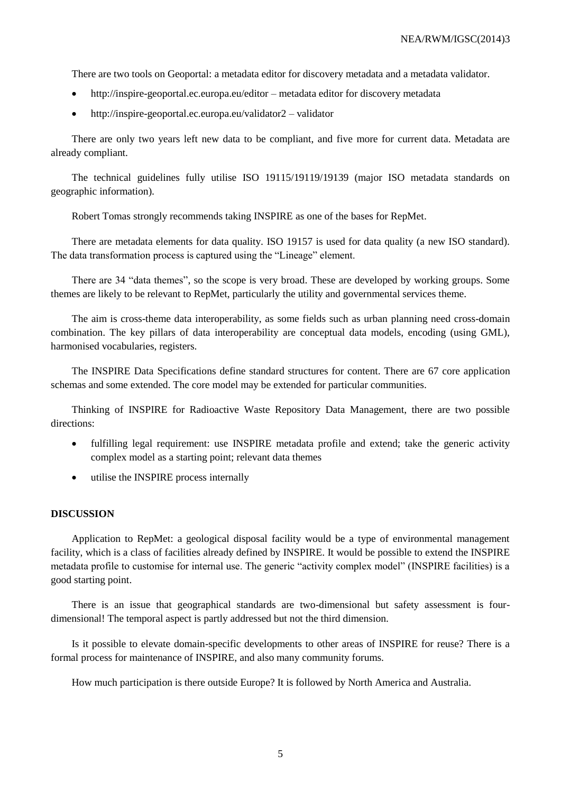There are two tools on Geoportal: a metadata editor for discovery metadata and a metadata validator.

- http://inspire-geoportal.ec.europa.eu/editor metadata editor for discovery metadata
- http://inspire-geoportal.ec.europa.eu/validator2 validator

There are only two years left new data to be compliant, and five more for current data. Metadata are already compliant.

The technical guidelines fully utilise ISO 19115/19119/19139 (major ISO metadata standards on geographic information).

Robert Tomas strongly recommends taking INSPIRE as one of the bases for RepMet.

There are metadata elements for data quality. ISO 19157 is used for data quality (a new ISO standard). The data transformation process is captured using the "Lineage" element.

There are 34 "data themes", so the scope is very broad. These are developed by working groups. Some themes are likely to be relevant to RepMet, particularly the utility and governmental services theme.

The aim is cross-theme data interoperability, as some fields such as urban planning need cross-domain combination. The key pillars of data interoperability are conceptual data models, encoding (using GML), harmonised vocabularies, registers.

The INSPIRE Data Specifications define standard structures for content. There are 67 core application schemas and some extended. The core model may be extended for particular communities.

Thinking of INSPIRE for Radioactive Waste Repository Data Management, there are two possible directions:

- fulfilling legal requirement: use INSPIRE metadata profile and extend; take the generic activity complex model as a starting point; relevant data themes
- utilise the INSPIRE process internally

#### **DISCUSSION**

Application to RepMet: a geological disposal facility would be a type of environmental management facility, which is a class of facilities already defined by INSPIRE. It would be possible to extend the INSPIRE metadata profile to customise for internal use. The generic "activity complex model" (INSPIRE facilities) is a good starting point.

There is an issue that geographical standards are two-dimensional but safety assessment is fourdimensional! The temporal aspect is partly addressed but not the third dimension.

Is it possible to elevate domain-specific developments to other areas of INSPIRE for reuse? There is a formal process for maintenance of INSPIRE, and also many community forums.

How much participation is there outside Europe? It is followed by North America and Australia.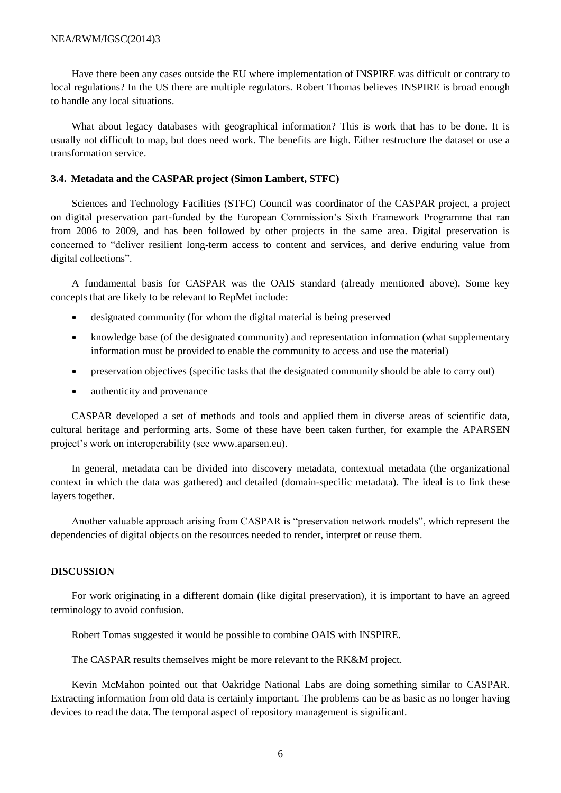Have there been any cases outside the EU where implementation of INSPIRE was difficult or contrary to local regulations? In the US there are multiple regulators. Robert Thomas believes INSPIRE is broad enough to handle any local situations.

What about legacy databases with geographical information? This is work that has to be done. It is usually not difficult to map, but does need work. The benefits are high. Either restructure the dataset or use a transformation service.

## **3.4. Metadata and the CASPAR project (Simon Lambert, STFC)**

Sciences and Technology Facilities (STFC) Council was coordinator of the CASPAR project, a project on digital preservation part-funded by the European Commission's Sixth Framework Programme that ran from 2006 to 2009, and has been followed by other projects in the same area. Digital preservation is concerned to "deliver resilient long-term access to content and services, and derive enduring value from digital collections".

A fundamental basis for CASPAR was the OAIS standard (already mentioned above). Some key concepts that are likely to be relevant to RepMet include:

- designated community (for whom the digital material is being preserved
- knowledge base (of the designated community) and representation information (what supplementary information must be provided to enable the community to access and use the material)
- preservation objectives (specific tasks that the designated community should be able to carry out)
- authenticity and provenance

CASPAR developed a set of methods and tools and applied them in diverse areas of scientific data, cultural heritage and performing arts. Some of these have been taken further, for example the APARSEN project's work on interoperability (see www.aparsen.eu).

In general, metadata can be divided into discovery metadata, contextual metadata (the organizational context in which the data was gathered) and detailed (domain-specific metadata). The ideal is to link these layers together.

Another valuable approach arising from CASPAR is "preservation network models", which represent the dependencies of digital objects on the resources needed to render, interpret or reuse them.

## **DISCUSSION**

For work originating in a different domain (like digital preservation), it is important to have an agreed terminology to avoid confusion.

Robert Tomas suggested it would be possible to combine OAIS with INSPIRE.

The CASPAR results themselves might be more relevant to the RK&M project.

Kevin McMahon pointed out that Oakridge National Labs are doing something similar to CASPAR. Extracting information from old data is certainly important. The problems can be as basic as no longer having devices to read the data. The temporal aspect of repository management is significant.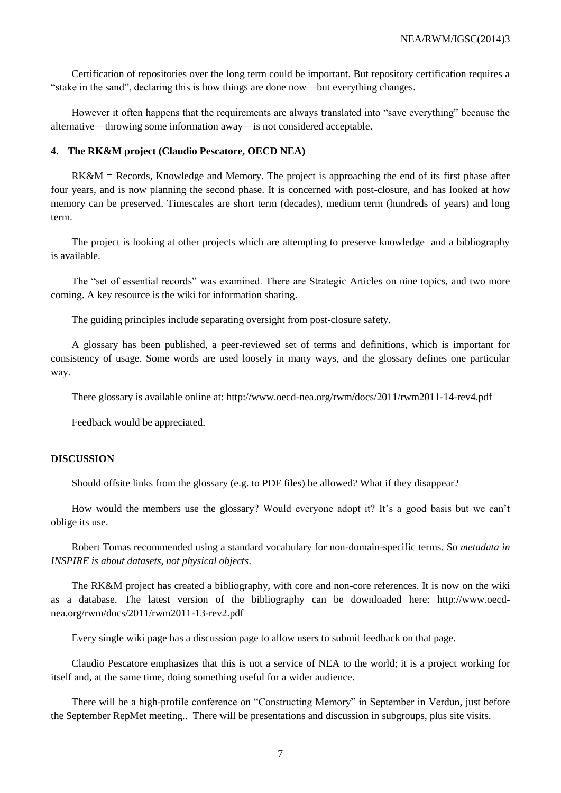Certification of repositories over the long term could be important. But repository certification requires a "stake in the sand", declaring this is how things are done now—but everything changes.

However it often happens that the requirements are always translated into "save everything" because the alternative—throwing some information away—is not considered acceptable.

## **4. The RK&M project (Claudio Pescatore, OECD NEA)**

RK&M = Records, Knowledge and Memory. The project is approaching the end of its first phase after four years, and is now planning the second phase. It is concerned with post-closure, and has looked at how memory can be preserved. Timescales are short term (decades), medium term (hundreds of years) and long term.

The project is looking at other projects which are attempting to preserve knowledge and a bibliography is available.

The "set of essential records" was examined. There are Strategic Articles on nine topics, and two more coming. A key resource is the wiki for information sharing.

The guiding principles include separating oversight from post-closure safety.

A glossary has been published, a peer-reviewed set of terms and definitions, which is important for consistency of usage. Some words are used loosely in many ways, and the glossary defines one particular way.

There glossary is available online at: http://www.oecd-nea.org/rwm/docs/2011/rwm2011-14-rev4.pdf

Feedback would be appreciated.

## **DISCUSSION**

Should offsite links from the glossary (e.g. to PDF files) be allowed? What if they disappear?

How would the members use the glossary? Would everyone adopt it? It's a good basis but we can't oblige its use.

Robert Tomas recommended using a standard vocabulary for non-domain-specific terms. So *metadata in INSPIRE is about datasets, not physical objects*.

The RK&M project has created a bibliography, with core and non-core references. It is now on the wiki as a database. The latest version of the bibliography can be downloaded here: http://www.oecdnea.org/rwm/docs/2011/rwm2011-13-rev2.pdf

Every single wiki page has a discussion page to allow users to submit feedback on that page.

Claudio Pescatore emphasizes that this is not a service of NEA to the world; it is a project working for itself and, at the same time, doing something useful for a wider audience.

There will be a high-profile conference on "Constructing Memory" in September in Verdun, just before the September RepMet meeting.. There will be presentations and discussion in subgroups, plus site visits.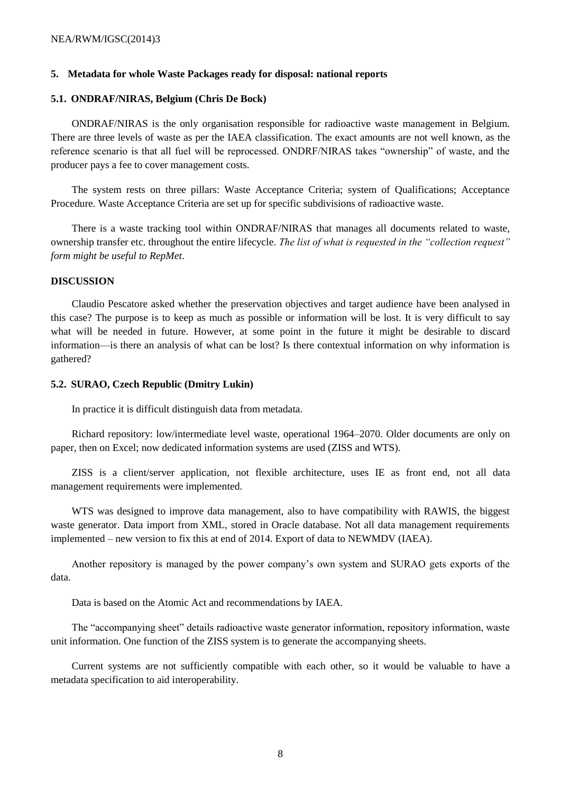## **5. Metadata for whole Waste Packages ready for disposal: national reports**

## **5.1. ONDRAF/NIRAS, Belgium (Chris De Bock)**

ONDRAF/NIRAS is the only organisation responsible for radioactive waste management in Belgium. There are three levels of waste as per the IAEA classification. The exact amounts are not well known, as the reference scenario is that all fuel will be reprocessed. ONDRF/NIRAS takes "ownership" of waste, and the producer pays a fee to cover management costs.

The system rests on three pillars: Waste Acceptance Criteria; system of Qualifications; Acceptance Procedure. Waste Acceptance Criteria are set up for specific subdivisions of radioactive waste.

There is a waste tracking tool within ONDRAF/NIRAS that manages all documents related to waste, ownership transfer etc. throughout the entire lifecycle. *The list of what is requested in the "collection request" form might be useful to RepMet*.

#### **DISCUSSION**

Claudio Pescatore asked whether the preservation objectives and target audience have been analysed in this case? The purpose is to keep as much as possible or information will be lost. It is very difficult to say what will be needed in future. However, at some point in the future it might be desirable to discard information—is there an analysis of what can be lost? Is there contextual information on why information is gathered?

### **5.2. SURAO, Czech Republic (Dmitry Lukin)**

In practice it is difficult distinguish data from metadata.

Richard repository: low/intermediate level waste, operational 1964–2070. Older documents are only on paper, then on Excel; now dedicated information systems are used (ZISS and WTS).

ZISS is a client/server application, not flexible architecture, uses IE as front end, not all data management requirements were implemented.

WTS was designed to improve data management, also to have compatibility with RAWIS, the biggest waste generator. Data import from XML, stored in Oracle database. Not all data management requirements implemented – new version to fix this at end of 2014. Export of data to NEWMDV (IAEA).

Another repository is managed by the power company's own system and SURAO gets exports of the data.

Data is based on the Atomic Act and recommendations by IAEA.

The "accompanying sheet" details radioactive waste generator information, repository information, waste unit information. One function of the ZISS system is to generate the accompanying sheets.

Current systems are not sufficiently compatible with each other, so it would be valuable to have a metadata specification to aid interoperability.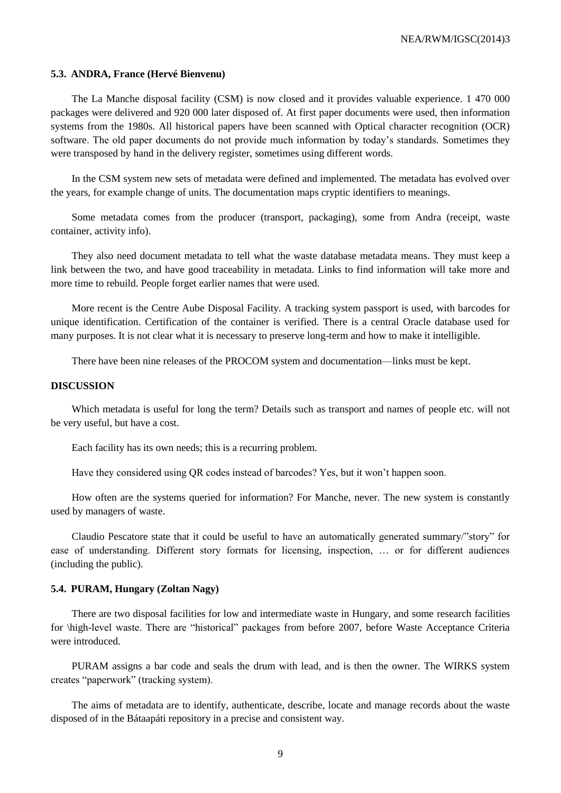#### **5.3. ANDRA, France (Hervé Bienvenu)**

The La Manche disposal facility (CSM) is now closed and it provides valuable experience. 1 470 000 packages were delivered and 920 000 later disposed of. At first paper documents were used, then information systems from the 1980s. All historical papers have been scanned with Optical character recognition (OCR) software. The old paper documents do not provide much information by today's standards. Sometimes they were transposed by hand in the delivery register, sometimes using different words.

In the CSM system new sets of metadata were defined and implemented. The metadata has evolved over the years, for example change of units. The documentation maps cryptic identifiers to meanings.

Some metadata comes from the producer (transport, packaging), some from Andra (receipt, waste container, activity info).

They also need document metadata to tell what the waste database metadata means. They must keep a link between the two, and have good traceability in metadata. Links to find information will take more and more time to rebuild. People forget earlier names that were used.

More recent is the Centre Aube Disposal Facility. A tracking system passport is used, with barcodes for unique identification. Certification of the container is verified. There is a central Oracle database used for many purposes. It is not clear what it is necessary to preserve long-term and how to make it intelligible.

There have been nine releases of the PROCOM system and documentation—links must be kept.

### **DISCUSSION**

Which metadata is useful for long the term? Details such as transport and names of people etc. will not be very useful, but have a cost.

Each facility has its own needs; this is a recurring problem.

Have they considered using QR codes instead of barcodes? Yes, but it won't happen soon.

How often are the systems queried for information? For Manche, never. The new system is constantly used by managers of waste.

Claudio Pescatore state that it could be useful to have an automatically generated summary/"story" for ease of understanding. Different story formats for licensing, inspection, … or for different audiences (including the public).

#### **5.4. PURAM, Hungary (Zoltan Nagy)**

There are two disposal facilities for low and intermediate waste in Hungary, and some research facilities for \high-level waste. There are "historical" packages from before 2007, before Waste Acceptance Criteria were introduced.

PURAM assigns a bar code and seals the drum with lead, and is then the owner. The WIRKS system creates "paperwork" (tracking system).

The aims of metadata are to identify, authenticate, describe, locate and manage records about the waste disposed of in the Bátaapáti repository in a precise and consistent way.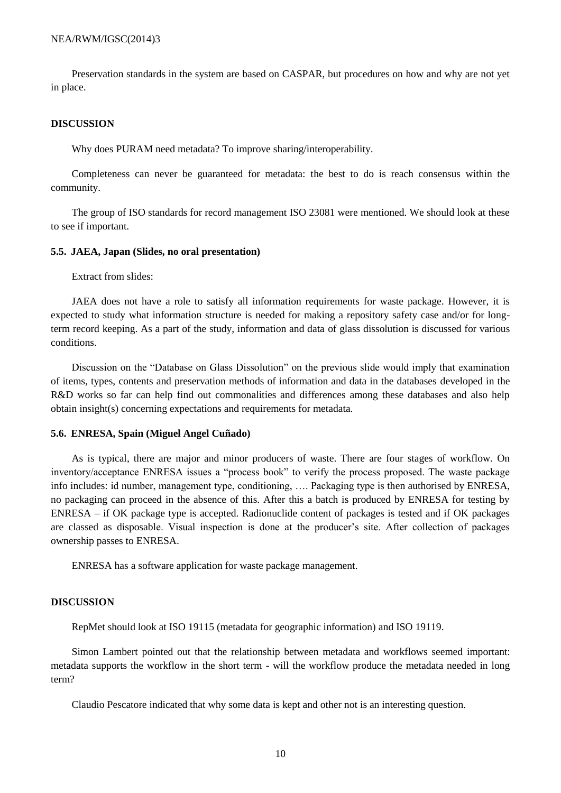Preservation standards in the system are based on CASPAR, but procedures on how and why are not yet in place.

#### **DISCUSSION**

Why does PURAM need metadata? To improve sharing/interoperability.

Completeness can never be guaranteed for metadata: the best to do is reach consensus within the community.

The group of ISO standards for record management ISO 23081 were mentioned. We should look at these to see if important.

#### **5.5. JAEA, Japan (Slides, no oral presentation)**

Extract from slides:

JAEA does not have a role to satisfy all information requirements for waste package. However, it is expected to study what information structure is needed for making a repository safety case and/or for longterm record keeping. As a part of the study, information and data of glass dissolution is discussed for various conditions.

Discussion on the "Database on Glass Dissolution" on the previous slide would imply that examination of items, types, contents and preservation methods of information and data in the databases developed in the R&D works so far can help find out commonalities and differences among these databases and also help obtain insight(s) concerning expectations and requirements for metadata.

#### **5.6. ENRESA, Spain (Miguel Angel Cuñado)**

As is typical, there are major and minor producers of waste. There are four stages of workflow. On inventory/acceptance ENRESA issues a "process book" to verify the process proposed. The waste package info includes: id number, management type, conditioning, …. Packaging type is then authorised by ENRESA, no packaging can proceed in the absence of this. After this a batch is produced by ENRESA for testing by ENRESA – if OK package type is accepted. Radionuclide content of packages is tested and if OK packages are classed as disposable. Visual inspection is done at the producer's site. After collection of packages ownership passes to ENRESA.

ENRESA has a software application for waste package management.

### **DISCUSSION**

RepMet should look at ISO 19115 (metadata for geographic information) and ISO 19119.

Simon Lambert pointed out that the relationship between metadata and workflows seemed important: metadata supports the workflow in the short term - will the workflow produce the metadata needed in long term?

Claudio Pescatore indicated that why some data is kept and other not is an interesting question.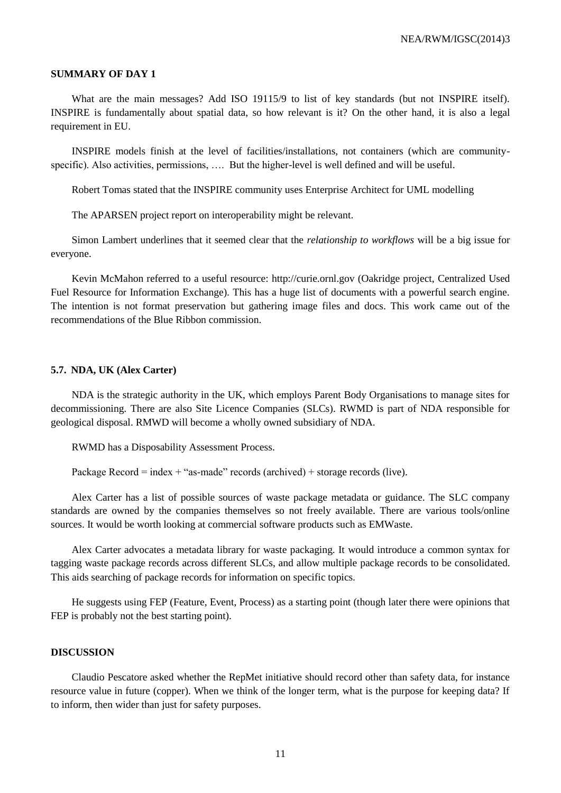#### **SUMMARY OF DAY 1**

What are the main messages? Add ISO 19115/9 to list of key standards (but not INSPIRE itself). INSPIRE is fundamentally about spatial data, so how relevant is it? On the other hand, it is also a legal requirement in EU.

INSPIRE models finish at the level of facilities/installations, not containers (which are communityspecific). Also activities, permissions, …. But the higher-level is well defined and will be useful.

Robert Tomas stated that the INSPIRE community uses Enterprise Architect for UML modelling

The APARSEN project report on interoperability might be relevant.

Simon Lambert underlines that it seemed clear that the *relationship to workflows* will be a big issue for everyone.

Kevin McMahon referred to a useful resource: http://curie.ornl.gov (Oakridge project, Centralized Used Fuel Resource for Information Exchange). This has a huge list of documents with a powerful search engine. The intention is not format preservation but gathering image files and docs. This work came out of the recommendations of the Blue Ribbon commission.

#### **5.7. NDA, UK (Alex Carter)**

NDA is the strategic authority in the UK, which employs Parent Body Organisations to manage sites for decommissioning. There are also Site Licence Companies (SLCs). RWMD is part of NDA responsible for geological disposal. RMWD will become a wholly owned subsidiary of NDA.

RWMD has a Disposability Assessment Process.

Package Record = index + "as-made" records (archived) + storage records (live).

Alex Carter has a list of possible sources of waste package metadata or guidance. The SLC company standards are owned by the companies themselves so not freely available. There are various tools/online sources. It would be worth looking at commercial software products such as EMWaste.

Alex Carter advocates a metadata library for waste packaging. It would introduce a common syntax for tagging waste package records across different SLCs, and allow multiple package records to be consolidated. This aids searching of package records for information on specific topics.

He suggests using FEP (Feature, Event, Process) as a starting point (though later there were opinions that FEP is probably not the best starting point).

## **DISCUSSION**

Claudio Pescatore asked whether the RepMet initiative should record other than safety data, for instance resource value in future (copper). When we think of the longer term, what is the purpose for keeping data? If to inform, then wider than just for safety purposes.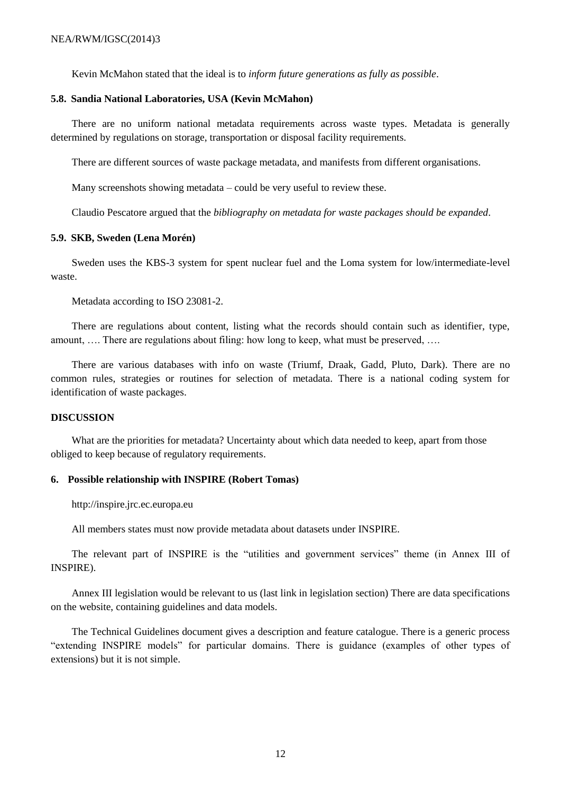Kevin McMahon stated that the ideal is to *inform future generations as fully as possible*.

#### **5.8. Sandia National Laboratories, USA (Kevin McMahon)**

There are no uniform national metadata requirements across waste types. Metadata is generally determined by regulations on storage, transportation or disposal facility requirements.

There are different sources of waste package metadata, and manifests from different organisations.

Many screenshots showing metadata – could be very useful to review these.

Claudio Pescatore argued that the *bibliography on metadata for waste packages should be expanded*.

#### **5.9. SKB, Sweden (Lena Morén)**

Sweden uses the KBS-3 system for spent nuclear fuel and the Loma system for low/intermediate-level waste.

Metadata according to ISO 23081-2.

There are regulations about content, listing what the records should contain such as identifier, type, amount, …. There are regulations about filing: how long to keep, what must be preserved, ….

There are various databases with info on waste (Triumf, Draak, Gadd, Pluto, Dark). There are no common rules, strategies or routines for selection of metadata. There is a national coding system for identification of waste packages.

#### **DISCUSSION**

What are the priorities for metadata? Uncertainty about which data needed to keep, apart from those obliged to keep because of regulatory requirements.

#### **6. Possible relationship with INSPIRE (Robert Tomas)**

http://inspire.jrc.ec.europa.eu

All members states must now provide metadata about datasets under INSPIRE.

The relevant part of INSPIRE is the "utilities and government services" theme (in Annex III of INSPIRE).

Annex III legislation would be relevant to us (last link in legislation section) There are data specifications on the website, containing guidelines and data models.

The Technical Guidelines document gives a description and feature catalogue. There is a generic process "extending INSPIRE models" for particular domains. There is guidance (examples of other types of extensions) but it is not simple.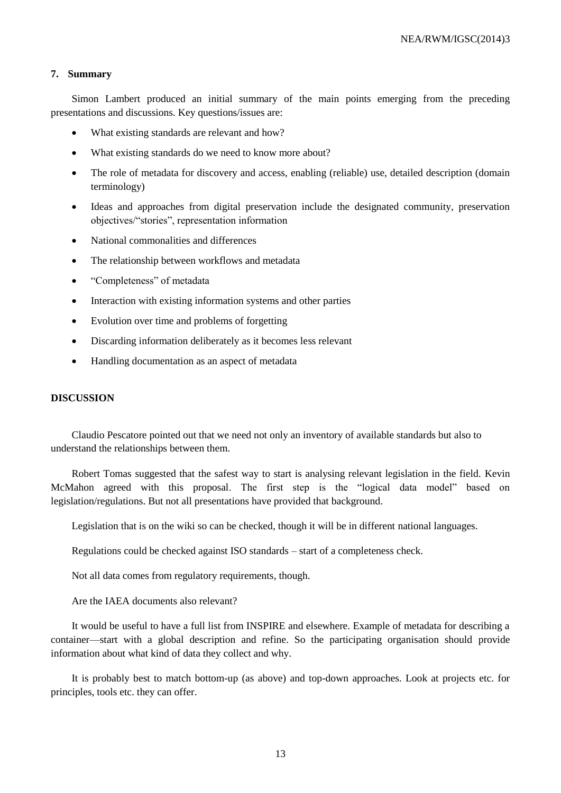## **7. Summary**

Simon Lambert produced an initial summary of the main points emerging from the preceding presentations and discussions. Key questions/issues are:

- What existing standards are relevant and how?
- What existing standards do we need to know more about?
- The role of metadata for discovery and access, enabling (reliable) use, detailed description (domain terminology)
- Ideas and approaches from digital preservation include the designated community, preservation objectives/"stories", representation information
- National commonalities and differences
- The relationship between workflows and metadata
- "Completeness" of metadata
- Interaction with existing information systems and other parties
- Evolution over time and problems of forgetting
- Discarding information deliberately as it becomes less relevant
- Handling documentation as an aspect of metadata

### **DISCUSSION**

Claudio Pescatore pointed out that we need not only an inventory of available standards but also to understand the relationships between them.

Robert Tomas suggested that the safest way to start is analysing relevant legislation in the field. Kevin McMahon agreed with this proposal. The first step is the "logical data model" based on legislation/regulations. But not all presentations have provided that background.

Legislation that is on the wiki so can be checked, though it will be in different national languages.

Regulations could be checked against ISO standards – start of a completeness check.

Not all data comes from regulatory requirements, though.

Are the IAEA documents also relevant?

It would be useful to have a full list from INSPIRE and elsewhere. Example of metadata for describing a container—start with a global description and refine. So the participating organisation should provide information about what kind of data they collect and why.

It is probably best to match bottom-up (as above) and top-down approaches. Look at projects etc. for principles, tools etc. they can offer.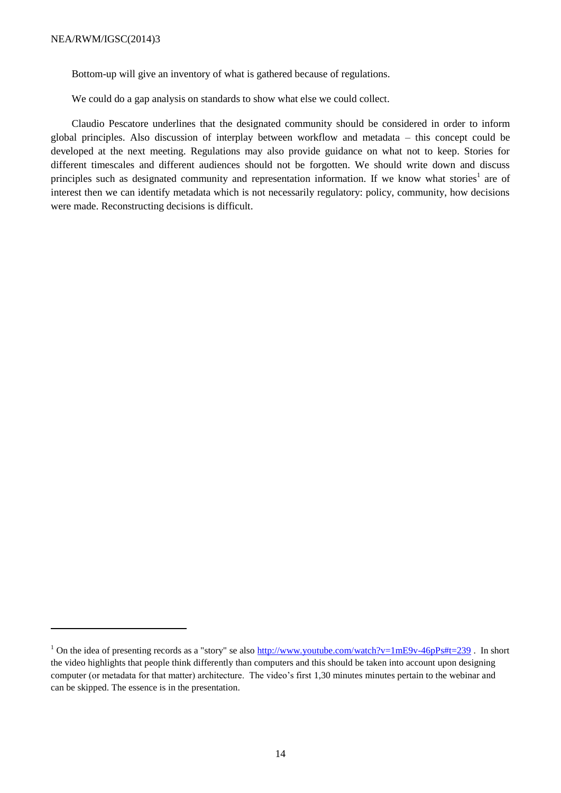**.** 

Bottom-up will give an inventory of what is gathered because of regulations.

We could do a gap analysis on standards to show what else we could collect.

Claudio Pescatore underlines that the designated community should be considered in order to inform global principles. Also discussion of interplay between workflow and metadata – this concept could be developed at the next meeting. Regulations may also provide guidance on what not to keep. Stories for different timescales and different audiences should not be forgotten. We should write down and discuss principles such as designated community and representation information. If we know what stories<sup>1</sup> are of interest then we can identify metadata which is not necessarily regulatory: policy, community, how decisions were made. Reconstructing decisions is difficult.

<sup>&</sup>lt;sup>1</sup> On the idea of presenting records as a "story" se also  $\frac{http://www.voutube.com/watch?v=1mE9v-46pPs#t=239}{http://www.voutube.com/watch?v=1mE9v-46p+1}$ . In short the video highlights that people think differently than computers and this should be taken into account upon designing computer (or metadata for that matter) architecture. The video's first 1,30 minutes minutes pertain to the webinar and can be skipped. The essence is in the presentation.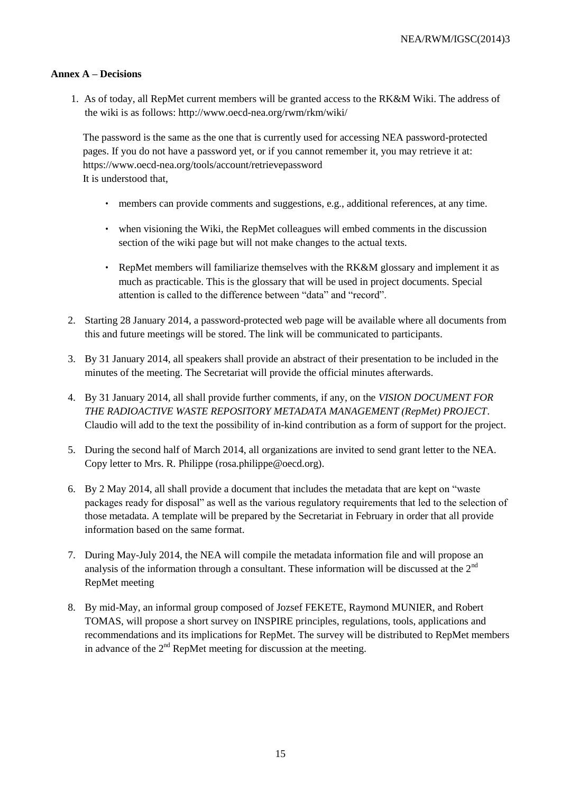## **Annex A – Decisions**

1. As of today, all RepMet current members will be granted access to the RK&M Wiki. The address of the wiki is as follows: http://www.oecd-nea.org/rwm/rkm/wiki/

The password is the same as the one that is currently used for accessing NEA password-protected pages. If you do not have a password yet, or if you cannot remember it, you may retrieve it at: https://www.oecd-nea.org/tools/account/retrievepassword It is understood that,

- members can provide comments and suggestions, e.g., additional references, at any time.
- when visioning the Wiki, the RepMet colleagues will embed comments in the discussion section of the wiki page but will not make changes to the actual texts.
- RepMet members will familiarize themselves with the RK&M glossary and implement it as much as practicable. This is the glossary that will be used in project documents. Special attention is called to the difference between "data" and "record".
- 2. Starting 28 January 2014, a password-protected web page will be available where all documents from this and future meetings will be stored. The link will be communicated to participants.
- 3. By 31 January 2014, all speakers shall provide an abstract of their presentation to be included in the minutes of the meeting. The Secretariat will provide the official minutes afterwards.
- 4. By 31 January 2014, all shall provide further comments, if any, on the *VISION DOCUMENT FOR THE RADIOACTIVE WASTE REPOSITORY METADATA MANAGEMENT (RepMet) PROJECT*. Claudio will add to the text the possibility of in-kind contribution as a form of support for the project.
- 5. During the second half of March 2014, all organizations are invited to send grant letter to the NEA. Copy letter to Mrs. R. Philippe (rosa.philippe@oecd.org).
- 6. By 2 May 2014, all shall provide a document that includes the metadata that are kept on "waste packages ready for disposal" as well as the various regulatory requirements that led to the selection of those metadata. A template will be prepared by the Secretariat in February in order that all provide information based on the same format.
- 7. During May-July 2014, the NEA will compile the metadata information file and will propose an analysis of the information through a consultant. These information will be discussed at the 2nd RepMet meeting
- 8. By mid-May, an informal group composed of Jozsef FEKETE, Raymond MUNIER, and Robert TOMAS, will propose a short survey on INSPIRE principles, regulations, tools, applications and recommendations and its implications for RepMet. The survey will be distributed to RepMet members in advance of the  $2<sup>nd</sup>$  RepMet meeting for discussion at the meeting.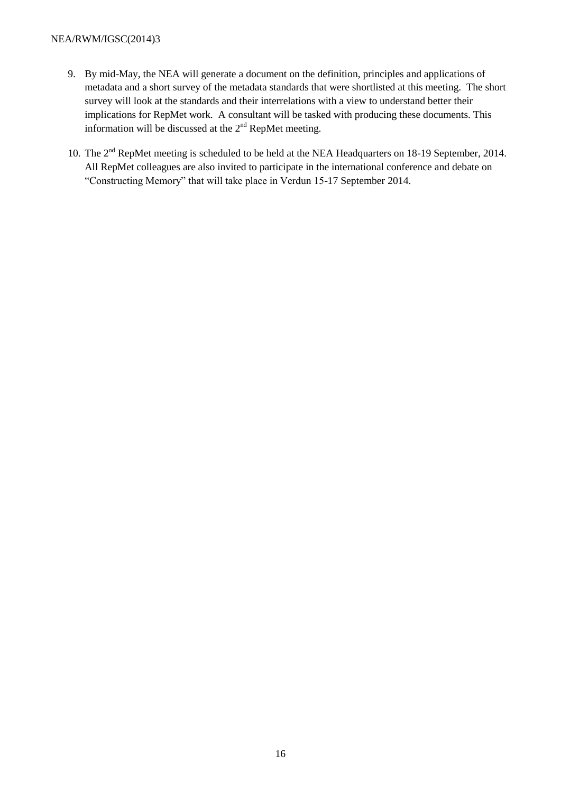## NEA/RWM/IGSC(2014)3

- 9. By mid-May, the NEA will generate a document on the definition, principles and applications of metadata and a short survey of the metadata standards that were shortlisted at this meeting. The short survey will look at the standards and their interrelations with a view to understand better their implications for RepMet work. A consultant will be tasked with producing these documents. This information will be discussed at the  $2<sup>nd</sup>$  RepMet meeting.
- 10. The 2<sup>nd</sup> RepMet meeting is scheduled to be held at the NEA Headquarters on 18-19 September, 2014. All RepMet colleagues are also invited to participate in the international conference and debate on "Constructing Memory" that will take place in Verdun 15-17 September 2014.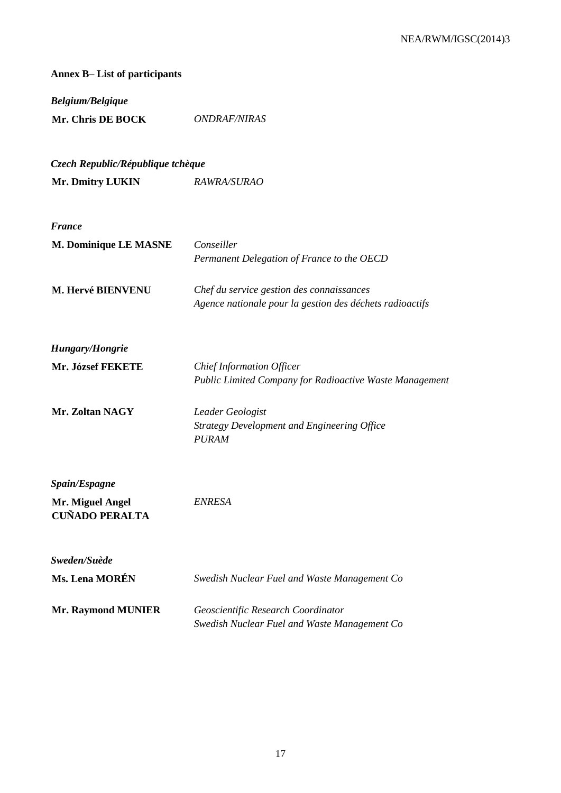| <b>Annex B-List of participants</b>                        |                                                                                                       |  |
|------------------------------------------------------------|-------------------------------------------------------------------------------------------------------|--|
| <b>Belgium/Belgique</b><br>Mr. Chris DE BOCK               | <b>ONDRAF/NIRAS</b>                                                                                   |  |
| Czech Republic/République tchèque                          |                                                                                                       |  |
| Mr. Dmitry LUKIN                                           | RAWRA/SURAO                                                                                           |  |
| <b>France</b>                                              |                                                                                                       |  |
| M. Dominique LE MASNE                                      | Conseiller<br>Permanent Delegation of France to the OECD                                              |  |
| M. Hervé BIENVENU                                          | Chef du service gestion des connaissances<br>Agence nationale pour la gestion des déchets radioactifs |  |
| <b>Hungary/Hongrie</b>                                     |                                                                                                       |  |
| Mr. József FEKETE                                          | <b>Chief Information Officer</b><br>Public Limited Company for Radioactive Waste Management           |  |
| Mr. Zoltan NAGY                                            | Leader Geologist<br><b>Strategy Development and Engineering Office</b><br><b>PURAM</b>                |  |
| Spain/Espagne<br>Mr. Miguel Angel<br><b>CUÑADO PERALTA</b> | <b>ENRESA</b>                                                                                         |  |
| Sweden/Suède<br><b>Ms. Lena MORÉN</b>                      | Swedish Nuclear Fuel and Waste Management Co                                                          |  |
| <b>Mr. Raymond MUNIER</b>                                  | Geoscientific Research Coordinator<br>Swedish Nuclear Fuel and Waste Management Co                    |  |